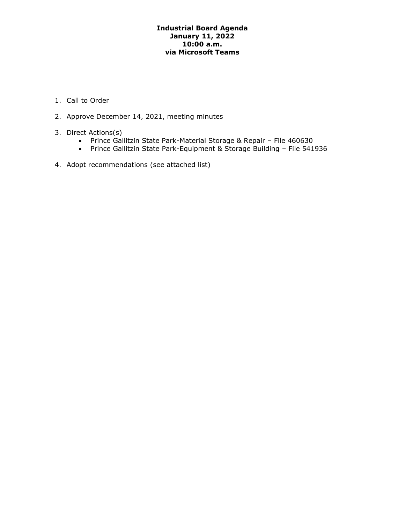# **Industrial Board Agenda January 11, 2022 10:00 a.m. via Microsoft Teams**

- 1. Call to Order
- 2. Approve December 14, 2021, meeting minutes
- 3. Direct Actions(s)
	- Prince Gallitzin State Park-Material Storage & Repair File 460630
	- Prince Gallitzin State Park-Equipment & Storage Building File 541936
- 4. Adopt recommendations (see attached list)